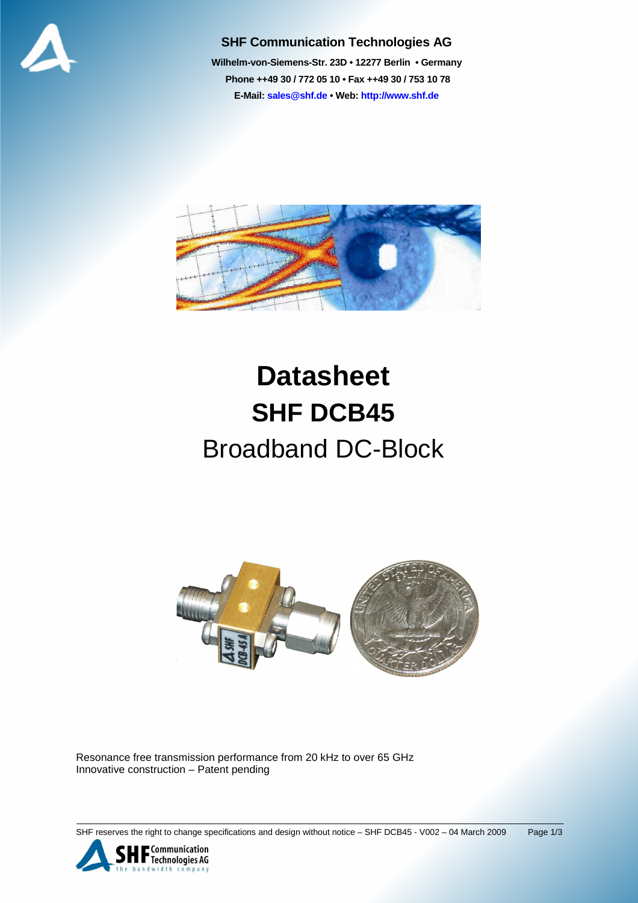

## **SHF Communication Technologies AG**

**Wilhelm-von-Siemens-Str. 23D • 12277 Berlin • Germany Phone ++49 30 / 772 05 10 • Fax ++49 30 / 753 10 78 E-Mail: sales@shf.de • Web: http://www.shf.de**



## **Datasheet SHF DCB45**  Broadband DC-Block



Resonance free transmission performance from 20 kHz to over 65 GHz Innovative construction – Patent pending

SHF reserves the right to change specifications and design without notice - SHF DCB45 - V002 - 04 March 2009 Page 1/3

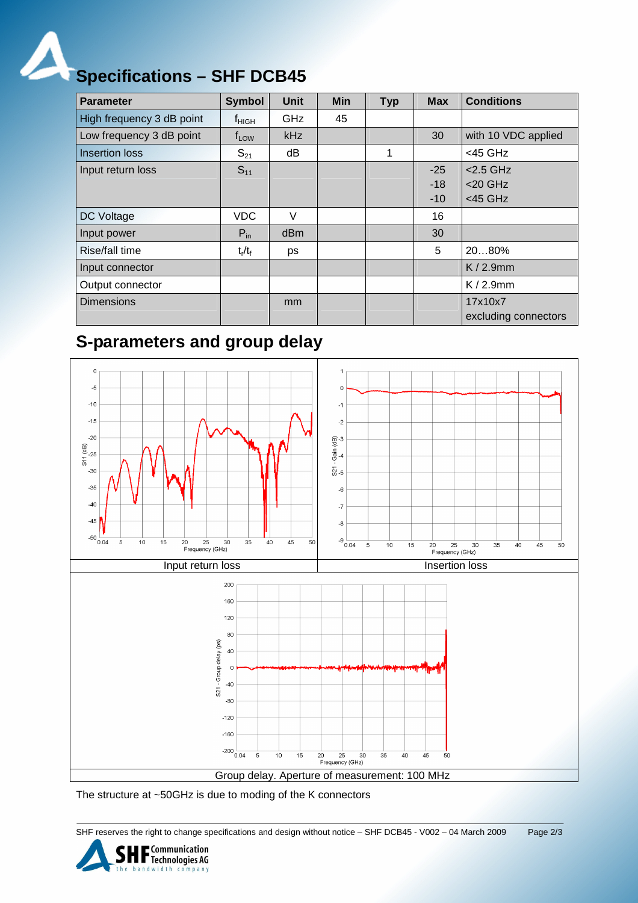

## **Specifications – SHF DCB45**

| <b>Parameter</b>          | <b>Symbol</b>     | <b>Unit</b> | <b>Min</b> | <b>Typ</b> | <b>Max</b> | <b>Conditions</b>               |
|---------------------------|-------------------|-------------|------------|------------|------------|---------------------------------|
| High frequency 3 dB point | $f_{\text{HIGH}}$ | GHz         | 45         |            |            |                                 |
| Low frequency 3 dB point  | $f_{LOW}$         | kHz         |            |            | 30         | with 10 VDC applied             |
| <b>Insertion loss</b>     | $S_{21}$          | dB          |            | 1          |            | $<$ 45 GHz                      |
| Input return loss         | $S_{11}$          |             |            |            | $-25$      | $<$ 2.5 GHz                     |
|                           |                   |             |            |            | $-18$      | $<$ 20 GHz                      |
|                           |                   |             |            |            | $-10$      | $<$ 45 GHz                      |
| DC Voltage                | <b>VDC</b>        | V           |            |            | 16         |                                 |
| Input power               | $P_{in}$          | dBm         |            |            | 30         |                                 |
| Rise/fall time            | $t_r/t_f$         | ps          |            |            | 5          | 2080%                           |
| Input connector           |                   |             |            |            |            | $K/2.9$ mm                      |
| Output connector          |                   |             |            |            |            | $K/2.9$ mm                      |
| <b>Dimensions</b>         |                   | mm          |            |            |            | 17x10x7<br>excluding connectors |

## **S-parameters and group delay**



The structure at ~50GHz is due to moding of the K connectors

SHF reserves the right to change specifications and design without notice – SHF DCB45 - V002 – 04 March 2009 Page 2/3